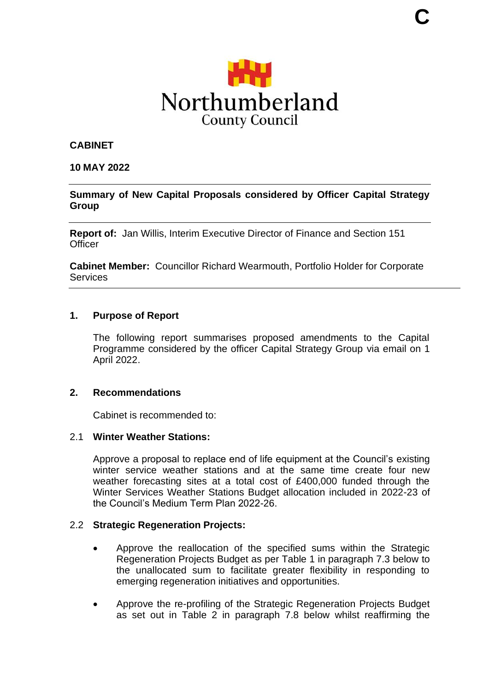

#### **CABINET**

#### **10 MAY 2022**

#### **Summary of New Capital Proposals considered by Officer Capital Strategy Group**

**Report of:** Jan Willis, Interim Executive Director of Finance and Section 151 **Officer** 

**Cabinet Member:** Councillor Richard Wearmouth, Portfolio Holder for Corporate **Services** 

#### **1. Purpose of Report**

The following report summarises proposed amendments to the Capital Programme considered by the officer Capital Strategy Group via email on 1 April 2022.

#### **2. Recommendations**

Cabinet is recommended to:

#### 2.1 **Winter Weather Stations:**

Approve a proposal to replace end of life equipment at the Council's existing winter service weather stations and at the same time create four new weather forecasting sites at a total cost of £400,000 funded through the Winter Services Weather Stations Budget allocation included in 2022-23 of the Council's Medium Term Plan 2022-26.

#### 2.2 **Strategic Regeneration Projects:**

- Approve the reallocation of the specified sums within the Strategic Regeneration Projects Budget as per Table 1 in paragraph 7.3 below to the unallocated sum to facilitate greater flexibility in responding to emerging regeneration initiatives and opportunities.
- Approve the re-profiling of the Strategic Regeneration Projects Budget as set out in Table 2 in paragraph 7.8 below whilst reaffirming the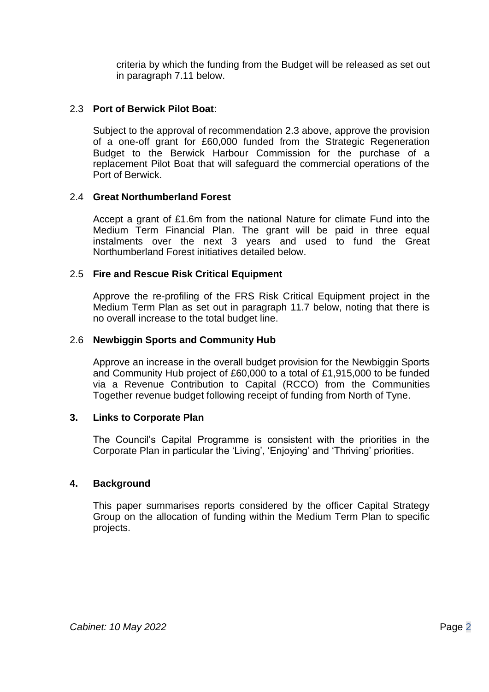criteria by which the funding from the Budget will be released as set out in paragraph 7.11 below.

### 2.3 **Port of Berwick Pilot Boat**:

Subject to the approval of recommendation 2.3 above, approve the provision of a one-off grant for £60,000 funded from the Strategic Regeneration Budget to the Berwick Harbour Commission for the purchase of a replacement Pilot Boat that will safeguard the commercial operations of the Port of Berwick.

### 2.4 **Great Northumberland Forest**

Accept a grant of £1.6m from the national Nature for climate Fund into the Medium Term Financial Plan. The grant will be paid in three equal instalments over the next 3 years and used to fund the Great Northumberland Forest initiatives detailed below.

### 2.5 **Fire and Rescue Risk Critical Equipment**

Approve the re-profiling of the FRS Risk Critical Equipment project in the Medium Term Plan as set out in paragraph 11.7 below, noting that there is no overall increase to the total budget line.

### 2.6 **Newbiggin Sports and Community Hub**

Approve an increase in the overall budget provision for the Newbiggin Sports and Community Hub project of £60,000 to a total of £1,915,000 to be funded via a Revenue Contribution to Capital (RCCO) from the Communities Together revenue budget following receipt of funding from North of Tyne.

### **3. Links to Corporate Plan**

The Council's Capital Programme is consistent with the priorities in the Corporate Plan in particular the 'Living', 'Enjoying' and 'Thriving' priorities.

### **4. Background**

This paper summarises reports considered by the officer Capital Strategy Group on the allocation of funding within the Medium Term Plan to specific projects.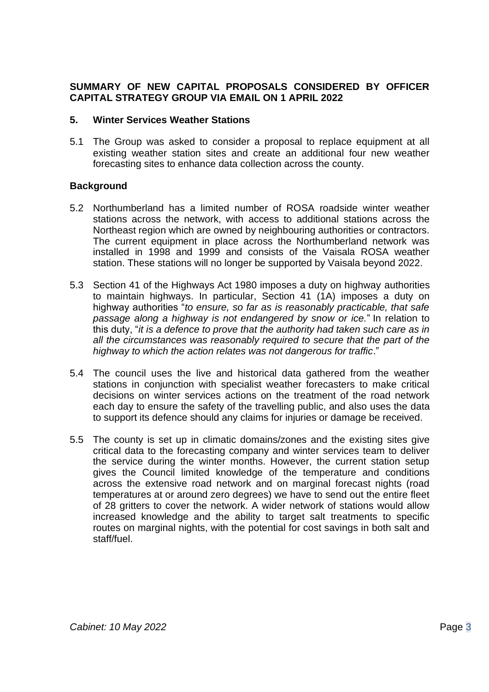## **SUMMARY OF NEW CAPITAL PROPOSALS CONSIDERED BY OFFICER CAPITAL STRATEGY GROUP VIA EMAIL ON 1 APRIL 2022**

#### **5. Winter Services Weather Stations**

5.1 The Group was asked to consider a proposal to replace equipment at all existing weather station sites and create an additional four new weather forecasting sites to enhance data collection across the county.

- 5.2 Northumberland has a limited number of ROSA roadside winter weather stations across the network, with access to additional stations across the Northeast region which are owned by neighbouring authorities or contractors. The current equipment in place across the Northumberland network was installed in 1998 and 1999 and consists of the Vaisala ROSA weather station. These stations will no longer be supported by Vaisala beyond 2022.
- 5.3 Section 41 of the Highways Act 1980 imposes a duty on highway authorities to maintain highways. In particular, Section 41 (1A) imposes a duty on highway authorities "*to ensure, so far as is reasonably practicable, that safe passage along a highway is not endangered by snow or ice.*" In relation to this duty, "*it is a defence to prove that the authority had taken such care as in all the circumstances was reasonably required to secure that the part of the highway to which the action relates was not dangerous for traffic*."
- 5.4 The council uses the live and historical data gathered from the weather stations in conjunction with specialist weather forecasters to make critical decisions on winter services actions on the treatment of the road network each day to ensure the safety of the travelling public, and also uses the data to support its defence should any claims for injuries or damage be received.
- 5.5 The county is set up in climatic domains/zones and the existing sites give critical data to the forecasting company and winter services team to deliver the service during the winter months. However, the current station setup gives the Council limited knowledge of the temperature and conditions across the extensive road network and on marginal forecast nights (road temperatures at or around zero degrees) we have to send out the entire fleet of 28 gritters to cover the network. A wider network of stations would allow increased knowledge and the ability to target salt treatments to specific routes on marginal nights, with the potential for cost savings in both salt and staff/fuel.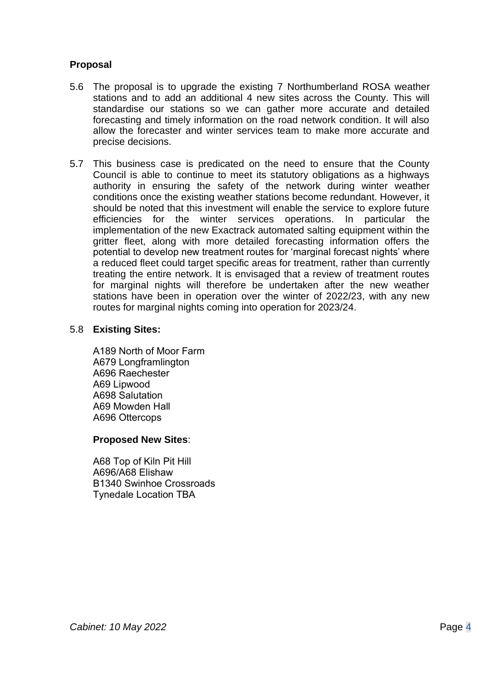## **Proposal**

- 5.6 The proposal is to upgrade the existing 7 Northumberland ROSA weather stations and to add an additional 4 new sites across the County. This will standardise our stations so we can gather more accurate and detailed forecasting and timely information on the road network condition. It will also allow the forecaster and winter services team to make more accurate and precise decisions.
- 5.7 This business case is predicated on the need to ensure that the County Council is able to continue to meet its statutory obligations as a highways authority in ensuring the safety of the network during winter weather conditions once the existing weather stations become redundant. However, it should be noted that this investment will enable the service to explore future efficiencies for the winter services operations. In particular the implementation of the new Exactrack automated salting equipment within the gritter fleet, along with more detailed forecasting information offers the potential to develop new treatment routes for 'marginal forecast nights' where a reduced fleet could target specific areas for treatment, rather than currently treating the entire network. It is envisaged that a review of treatment routes for marginal nights will therefore be undertaken after the new weather stations have been in operation over the winter of 2022/23, with any new routes for marginal nights coming into operation for 2023/24.

#### 5.8 **Existing Sites:**

A189 North of Moor Farm  A679 Longframlington  A696 Raechester  A69 Lipwood  A698 Salutation  A69 Mowden Hall  A696 Ottercops 

### **Proposed New Sites**:

A68 Top of Kiln Pit Hill  A696/A68 Elishaw  B1340 Swinhoe Crossroads  Tynedale Location TBA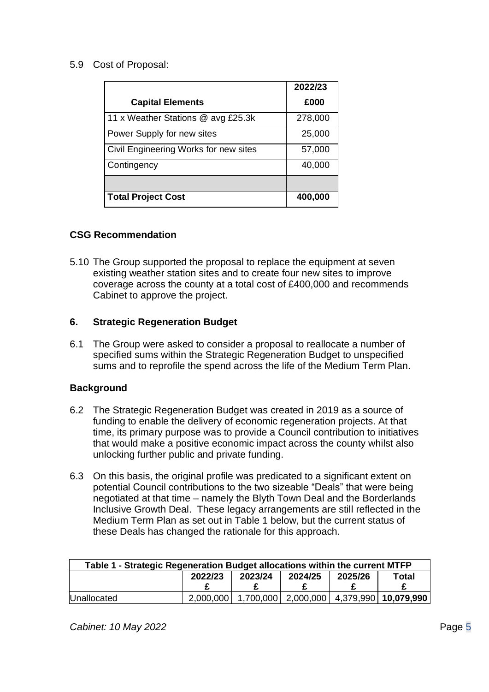## 5.9 Cost of Proposal:

|                                       | 2022/23 |
|---------------------------------------|---------|
| <b>Capital Elements</b>               | £000    |
| 11 x Weather Stations @ avg £25.3k    | 278,000 |
| Power Supply for new sites            | 25,000  |
| Civil Engineering Works for new sites | 57,000  |
| Contingency                           | 40,000  |
|                                       |         |
| <b>Total Project Cost</b>             | 400,000 |

### **CSG Recommendation**

5.10 The Group supported the proposal to replace the equipment at seven existing weather station sites and to create four new sites to improve coverage across the county at a total cost of £400,000 and recommends Cabinet to approve the project.

### **6. Strategic Regeneration Budget**

6.1 The Group were asked to consider a proposal to reallocate a number of specified sums within the Strategic Regeneration Budget to unspecified sums and to reprofile the spend across the life of the Medium Term Plan.

- 6.2 The Strategic Regeneration Budget was created in 2019 as a source of funding to enable the delivery of economic regeneration projects. At that time, its primary purpose was to provide a Council contribution to initiatives that would make a positive economic impact across the county whilst also unlocking further public and private funding.
- 6.3 On this basis, the original profile was predicated to a significant extent on potential Council contributions to the two sizeable "Deals" that were being negotiated at that time – namely the Blyth Town Deal and the Borderlands Inclusive Growth Deal. These legacy arrangements are still reflected in the Medium Term Plan as set out in Table 1 below, but the current status of these Deals has changed the rationale for this approach.

| Table 1 - Strategic Regeneration Budget allocations within the current MTFP |                                          |  |  |  |                                                |  |
|-----------------------------------------------------------------------------|------------------------------------------|--|--|--|------------------------------------------------|--|
|                                                                             | 2023/24<br>2025/26<br>2022/23<br>2024/25 |  |  |  | Total                                          |  |
|                                                                             |                                          |  |  |  |                                                |  |
| <b>I</b> Unallocated                                                        | 2.000.000                                |  |  |  | 1,700,000   2,000,000   4,379,990   10,079,990 |  |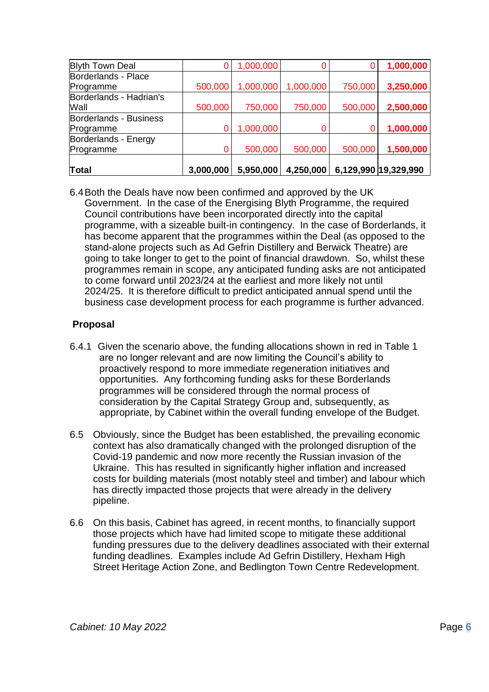| <b>Blyth Town Deal</b>  |           | 1,000,000 |           |         | 1,000,000            |
|-------------------------|-----------|-----------|-----------|---------|----------------------|
| Borderlands - Place     |           |           |           |         |                      |
| Programme               | 500,000   | 1,000,000 | 1,000,000 | 750,000 | 3,250,000            |
| Borderlands - Hadrian's |           |           |           |         |                      |
| Wall                    | 500,000   | 750,000   | 750,000   | 500,000 | 2,500,000            |
| Borderlands - Business  |           |           |           |         |                      |
| Programme               |           | 1,000,000 |           |         | 1,000,000            |
| Borderlands - Energy    |           |           |           |         |                      |
| Programme               | 0         | 500,000   | 500,000   | 500,000 | 1,500,000            |
|                         |           |           |           |         |                      |
| Total                   | 3,000,000 | 5,950,000 | 4,250,000 |         | 6,129,990 19,329,990 |

6.4Both the Deals have now been confirmed and approved by the UK Government. In the case of the Energising Blyth Programme, the required Council contributions have been incorporated directly into the capital programme, with a sizeable built-in contingency. In the case of Borderlands, it has become apparent that the programmes within the Deal (as opposed to the stand-alone projects such as Ad Gefrin Distillery and Berwick Theatre) are going to take longer to get to the point of financial drawdown. So, whilst these programmes remain in scope, any anticipated funding asks are not anticipated to come forward until 2023/24 at the earliest and more likely not until 2024/25. It is therefore difficult to predict anticipated annual spend until the business case development process for each programme is further advanced.

# **Proposal**

- 6.4.1 Given the scenario above, the funding allocations shown in red in Table 1 are no longer relevant and are now limiting the Council's ability to proactively respond to more immediate regeneration initiatives and opportunities. Any forthcoming funding asks for these Borderlands programmes will be considered through the normal process of consideration by the Capital Strategy Group and, subsequently, as appropriate, by Cabinet within the overall funding envelope of the Budget.
- 6.5 Obviously, since the Budget has been established, the prevailing economic context has also dramatically changed with the prolonged disruption of the Covid-19 pandemic and now more recently the Russian invasion of the Ukraine. This has resulted in significantly higher inflation and increased costs for building materials (most notably steel and timber) and labour which has directly impacted those projects that were already in the delivery pipeline.
- 6.6 On this basis, Cabinet has agreed, in recent months, to financially support those projects which have had limited scope to mitigate these additional funding pressures due to the delivery deadlines associated with their external funding deadlines. Examples include Ad Gefrin Distillery, Hexham High Street Heritage Action Zone, and Bedlington Town Centre Redevelopment.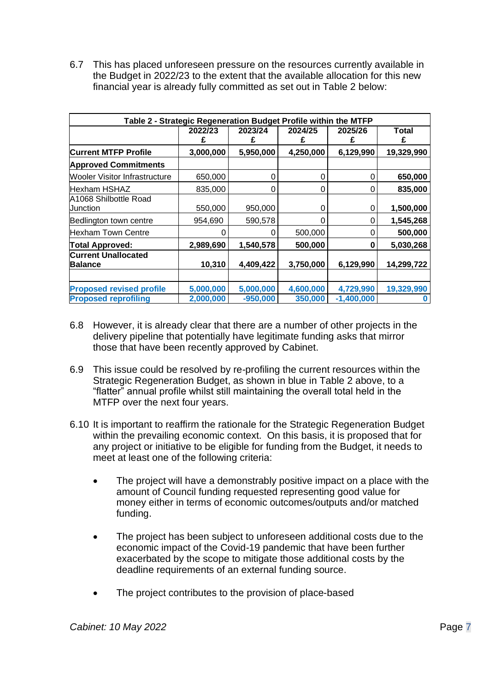6.7 This has placed unforeseen pressure on the resources currently available in the Budget in 2022/23 to the extent that the available allocation for this new financial year is already fully committed as set out in Table 2 below:

| Table 2 - Strategic Regeneration Budget Profile within the MTFP |                        |                         |                      |                           |                   |  |  |
|-----------------------------------------------------------------|------------------------|-------------------------|----------------------|---------------------------|-------------------|--|--|
|                                                                 | 2022/23<br>£           | 2023/24<br>£            | 2024/25<br>£         | 2025/26<br>£              | <b>Total</b><br>£ |  |  |
| <b>Current MTFP Profile</b>                                     | 3,000,000              | 5,950,000               | 4,250,000            | 6,129,990                 | 19,329,990        |  |  |
| <b>Approved Commitments</b>                                     |                        |                         |                      |                           |                   |  |  |
| <b>Wooler Visitor Infrastructure</b>                            | 650,000                | 0                       | 0                    | 0                         | 650,000           |  |  |
| <b>Hexham HSHAZ</b>                                             | 835,000                | 0                       | 0                    | 0                         | 835,000           |  |  |
| A1068 Shilbottle Road<br><b>Junction</b>                        | 550,000                | 950,000                 | 0                    | 0                         | 1,500,000         |  |  |
| Bedlington town centre                                          | 954,690                | 590,578                 | 0                    | 0                         | 1,545,268         |  |  |
| <b>Hexham Town Centre</b>                                       |                        | 0                       | 500,000              | 0                         | 500,000           |  |  |
| <b>Total Approved:</b>                                          | 2,989,690              | 1,540,578               | 500,000              | 0                         | 5,030,268         |  |  |
| <b>Current Unallocated</b><br><b>Balance</b>                    | 10,310                 | 4,409,422               | 3,750,000            | 6,129,990                 | 14,299,722        |  |  |
| <b>Proposed revised profile</b><br><b>Proposed reprofiling</b>  | 5,000,000<br>2,000,000 | 5,000,000<br>$-950,000$ | 4,600,000<br>350,000 | 4,729,990<br>$-1,400,000$ | 19,329,990        |  |  |

- 6.8 However, it is already clear that there are a number of other projects in the delivery pipeline that potentially have legitimate funding asks that mirror those that have been recently approved by Cabinet.
- 6.9 This issue could be resolved by re-profiling the current resources within the Strategic Regeneration Budget, as shown in blue in Table 2 above, to a "flatter" annual profile whilst still maintaining the overall total held in the MTFP over the next four years.
- 6.10 It is important to reaffirm the rationale for the Strategic Regeneration Budget within the prevailing economic context. On this basis, it is proposed that for any project or initiative to be eligible for funding from the Budget, it needs to meet at least one of the following criteria:
	- The project will have a demonstrably positive impact on a place with the amount of Council funding requested representing good value for money either in terms of economic outcomes/outputs and/or matched funding.
	- The project has been subject to unforeseen additional costs due to the economic impact of the Covid-19 pandemic that have been further exacerbated by the scope to mitigate those additional costs by the deadline requirements of an external funding source.
	- The project contributes to the provision of place-based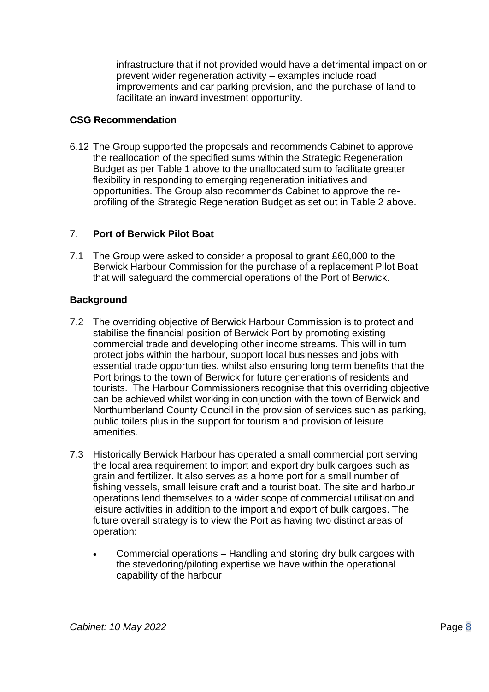infrastructure that if not provided would have a detrimental impact on or prevent wider regeneration activity – examples include road improvements and car parking provision, and the purchase of land to facilitate an inward investment opportunity.

## **CSG Recommendation**

6.12 The Group supported the proposals and recommends Cabinet to approve the reallocation of the specified sums within the Strategic Regeneration Budget as per Table 1 above to the unallocated sum to facilitate greater flexibility in responding to emerging regeneration initiatives and opportunities. The Group also recommends Cabinet to approve the reprofiling of the Strategic Regeneration Budget as set out in Table 2 above.

# 7. **Port of Berwick Pilot Boat**

7.1 The Group were asked to consider a proposal to grant £60,000 to the Berwick Harbour Commission for the purchase of a replacement Pilot Boat that will safeguard the commercial operations of the Port of Berwick.

- 7.2 The overriding objective of Berwick Harbour Commission is to protect and stabilise the financial position of Berwick Port by promoting existing commercial trade and developing other income streams. This will in turn protect jobs within the harbour, support local businesses and jobs with essential trade opportunities, whilst also ensuring long term benefits that the Port brings to the town of Berwick for future generations of residents and tourists. The Harbour Commissioners recognise that this overriding objective can be achieved whilst working in conjunction with the town of Berwick and Northumberland County Council in the provision of services such as parking, public toilets plus in the support for tourism and provision of leisure amenities.
- 7.3 Historically Berwick Harbour has operated a small commercial port serving the local area requirement to import and export dry bulk cargoes such as grain and fertilizer. It also serves as a home port for a small number of fishing vessels, small leisure craft and a tourist boat. The site and harbour operations lend themselves to a wider scope of commercial utilisation and leisure activities in addition to the import and export of bulk cargoes. The future overall strategy is to view the Port as having two distinct areas of operation:
	- Commercial operations Handling and storing dry bulk cargoes with the stevedoring/piloting expertise we have within the operational capability of the harbour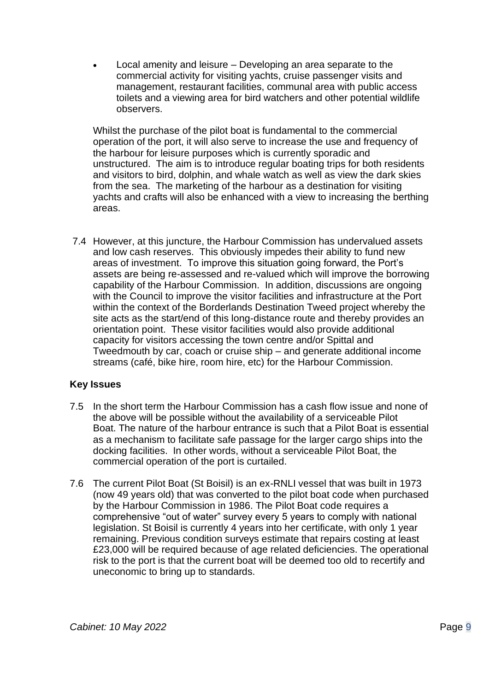• Local amenity and leisure – Developing an area separate to the commercial activity for visiting yachts, cruise passenger visits and management, restaurant facilities, communal area with public access toilets and a viewing area for bird watchers and other potential wildlife observers.

Whilst the purchase of the pilot boat is fundamental to the commercial operation of the port, it will also serve to increase the use and frequency of the harbour for leisure purposes which is currently sporadic and unstructured. The aim is to introduce regular boating trips for both residents and visitors to bird, dolphin, and whale watch as well as view the dark skies from the sea. The marketing of the harbour as a destination for visiting yachts and crafts will also be enhanced with a view to increasing the berthing areas.

7.4 However, at this juncture, the Harbour Commission has undervalued assets and low cash reserves. This obviously impedes their ability to fund new areas of investment. To improve this situation going forward, the Port's assets are being re-assessed and re-valued which will improve the borrowing capability of the Harbour Commission. In addition, discussions are ongoing with the Council to improve the visitor facilities and infrastructure at the Port within the context of the Borderlands Destination Tweed project whereby the site acts as the start/end of this long-distance route and thereby provides an orientation point. These visitor facilities would also provide additional capacity for visitors accessing the town centre and/or Spittal and Tweedmouth by car, coach or cruise ship – and generate additional income streams (café, bike hire, room hire, etc) for the Harbour Commission.

# **Key Issues**

- 7.5 In the short term the Harbour Commission has a cash flow issue and none of the above will be possible without the availability of a serviceable Pilot Boat. The nature of the harbour entrance is such that a Pilot Boat is essential as a mechanism to facilitate safe passage for the larger cargo ships into the docking facilities. In other words, without a serviceable Pilot Boat, the commercial operation of the port is curtailed.
- 7.6 The current Pilot Boat (St Boisil) is an ex-RNLI vessel that was built in 1973 (now 49 years old) that was converted to the pilot boat code when purchased by the Harbour Commission in 1986. The Pilot Boat code requires a comprehensive "out of water" survey every 5 years to comply with national legislation. St Boisil is currently 4 years into her certificate, with only 1 year remaining. Previous condition surveys estimate that repairs costing at least £23,000 will be required because of age related deficiencies. The operational risk to the port is that the current boat will be deemed too old to recertify and uneconomic to bring up to standards.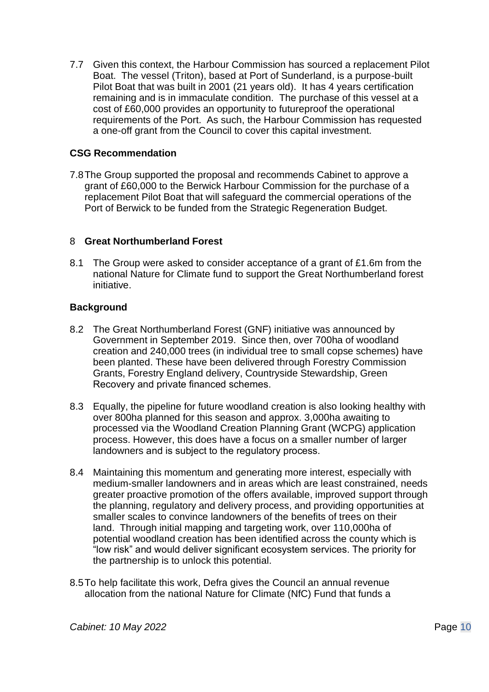7.7 Given this context, the Harbour Commission has sourced a replacement Pilot Boat. The vessel (Triton), based at Port of Sunderland, is a purpose-built Pilot Boat that was built in 2001 (21 years old). It has 4 years certification remaining and is in immaculate condition. The purchase of this vessel at a cost of £60,000 provides an opportunity to futureproof the operational requirements of the Port. As such, the Harbour Commission has requested a one-off grant from the Council to cover this capital investment.

## **CSG Recommendation**

7.8The Group supported the proposal and recommends Cabinet to approve a grant of £60,000 to the Berwick Harbour Commission for the purchase of a replacement Pilot Boat that will safeguard the commercial operations of the Port of Berwick to be funded from the Strategic Regeneration Budget.

### 8 **Great Northumberland Forest**

8.1 The Group were asked to consider acceptance of a grant of £1.6m from the national Nature for Climate fund to support the Great Northumberland forest initiative.

- 8.2 The Great Northumberland Forest (GNF) initiative was announced by Government in September 2019. Since then, over 700ha of woodland creation and 240,000 trees (in individual tree to small copse schemes) have been planted. These have been delivered through Forestry Commission Grants, Forestry England delivery, Countryside Stewardship, Green Recovery and private financed schemes.
- 8.3 Equally, the pipeline for future woodland creation is also looking healthy with over 800ha planned for this season and approx. 3,000ha awaiting to processed via the Woodland Creation Planning Grant (WCPG) application process. However, this does have a focus on a smaller number of larger landowners and is subject to the regulatory process.
- 8.4 Maintaining this momentum and generating more interest, especially with medium-smaller landowners and in areas which are least constrained, needs greater proactive promotion of the offers available, improved support through the planning, regulatory and delivery process, and providing opportunities at smaller scales to convince landowners of the benefits of trees on their land. Through initial mapping and targeting work, over 110,000ha of potential woodland creation has been identified across the county which is "low risk" and would deliver significant ecosystem services. The priority for the partnership is to unlock this potential.
- 8.5To help facilitate this work, Defra gives the Council an annual revenue allocation from the national Nature for Climate (NfC) Fund that funds a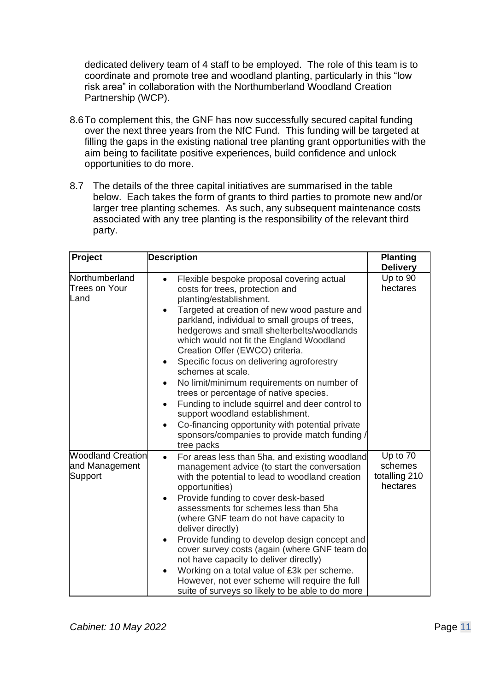dedicated delivery team of 4 staff to be employed. The role of this team is to coordinate and promote tree and woodland planting, particularly in this "low risk area" in collaboration with the Northumberland Woodland Creation Partnership (WCP).

- 8.6To complement this, the GNF has now successfully secured capital funding over the next three years from the NfC Fund. This funding will be targeted at filling the gaps in the existing national tree planting grant opportunities with the aim being to facilitate positive experiences, build confidence and unlock opportunities to do more.
- 8.7 The details of the three capital initiatives are summarised in the table below. Each takes the form of grants to third parties to promote new and/or larger tree planting schemes. As such, any subsequent maintenance costs associated with any tree planting is the responsibility of the relevant third party.

| Project                                               | <b>Description</b>                                                                                                                                                                                                                                                                                                                                                                                                                                                                                                                                                                                                                                                                                                  | <b>Planting</b><br><b>Delivery</b>               |
|-------------------------------------------------------|---------------------------------------------------------------------------------------------------------------------------------------------------------------------------------------------------------------------------------------------------------------------------------------------------------------------------------------------------------------------------------------------------------------------------------------------------------------------------------------------------------------------------------------------------------------------------------------------------------------------------------------------------------------------------------------------------------------------|--------------------------------------------------|
| Northumberland<br><b>Trees on Your</b><br>Land        | Flexible bespoke proposal covering actual<br>costs for trees, protection and<br>planting/establishment.<br>Targeted at creation of new wood pasture and<br>parkland, individual to small groups of trees,<br>hedgerows and small shelterbelts/woodlands<br>which would not fit the England Woodland<br>Creation Offer (EWCO) criteria.<br>Specific focus on delivering agroforestry<br>schemes at scale.<br>No limit/minimum requirements on number of<br>trees or percentage of native species.<br>Funding to include squirrel and deer control to<br>$\bullet$<br>support woodland establishment.<br>Co-financing opportunity with potential private<br>sponsors/companies to provide match funding<br>tree packs | Up to 90<br>hectares                             |
| <b>Woodland Creation</b><br>and Management<br>Support | For areas less than 5ha, and existing woodland<br>$\bullet$<br>management advice (to start the conversation<br>with the potential to lead to woodland creation<br>opportunities)<br>Provide funding to cover desk-based<br>assessments for schemes less than 5ha<br>(where GNF team do not have capacity to<br>deliver directly)<br>Provide funding to develop design concept and<br>cover survey costs (again (where GNF team do<br>not have capacity to deliver directly)<br>Working on a total value of £3k per scheme.<br>$\bullet$<br>However, not ever scheme will require the full<br>suite of surveys so likely to be able to do more                                                                       | Up to 70<br>schemes<br>totalling 210<br>hectares |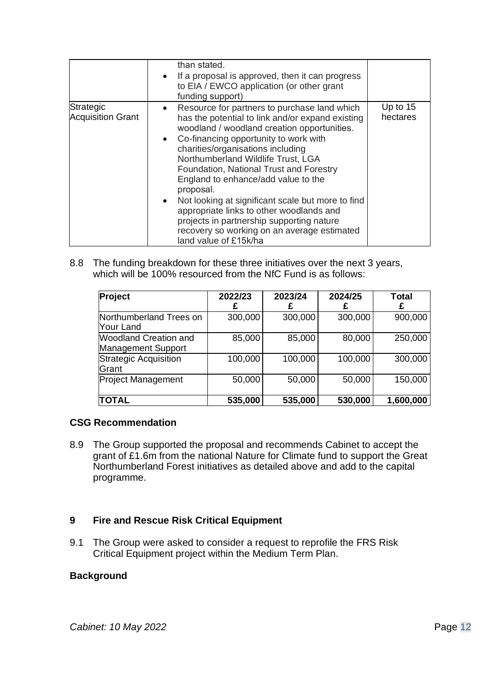|                                       | than stated.<br>If a proposal is approved, then it can progress<br>to EIA / EWCO application (or other grant<br>funding support)                                                                                                                                                                                                                                                                                                                                                                                                                                                         |                        |
|---------------------------------------|------------------------------------------------------------------------------------------------------------------------------------------------------------------------------------------------------------------------------------------------------------------------------------------------------------------------------------------------------------------------------------------------------------------------------------------------------------------------------------------------------------------------------------------------------------------------------------------|------------------------|
| Strategic<br><b>Acquisition Grant</b> | Resource for partners to purchase land which<br>has the potential to link and/or expand existing<br>woodland / woodland creation opportunities.<br>Co-financing opportunity to work with<br>charities/organisations including<br>Northumberland Wildlife Trust, LGA<br>Foundation, National Trust and Forestry<br>England to enhance/add value to the<br>proposal.<br>Not looking at significant scale but more to find<br>appropriate links to other woodlands and<br>projects in partnership supporting nature<br>recovery so working on an average estimated<br>land value of £15k/ha | Up to $15$<br>hectares |

8.8 The funding breakdown for these three initiatives over the next 3 years, which will be 100% resourced from the NfC Fund is as follows:

| Project                                                   | 2022/23 | 2023/24 | 2024/25 | Total<br>£ |
|-----------------------------------------------------------|---------|---------|---------|------------|
| Northumberland Trees on<br>Your Land                      | 300,000 | 300,000 | 300,000 | 900,000    |
| <b>Woodland Creation and</b><br><b>Management Support</b> | 85,000  | 85,000  | 80,000  | 250,000    |
| Strategic Acquisition<br>Grant                            | 100,000 | 100,000 | 100,000 | 300,000    |
| <b>Project Management</b>                                 | 50,000  | 50,000  | 50,000  | 150,000    |
| <b>TOTAL</b>                                              | 535,000 | 535,000 | 530,000 | 1,600,000  |

### **CSG Recommendation**

8.9 The Group supported the proposal and recommends Cabinet to accept the grant of £1.6m from the national Nature for Climate fund to support the Great Northumberland Forest initiatives as detailed above and add to the capital programme.

### **9 Fire and Rescue Risk Critical Equipment**

9.1 The Group were asked to consider a request to reprofile the FRS Risk Critical Equipment project within the Medium Term Plan.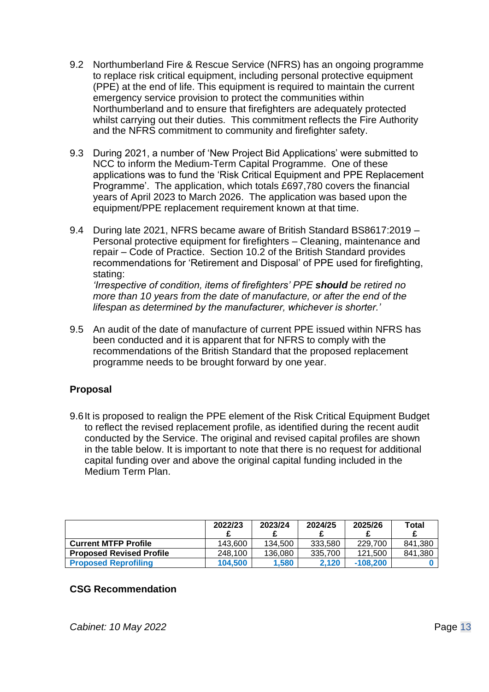- 9.2 Northumberland Fire & Rescue Service (NFRS) has an ongoing programme to replace risk critical equipment, including personal protective equipment (PPE) at the end of life. This equipment is required to maintain the current emergency service provision to protect the communities within Northumberland and to ensure that firefighters are adequately protected whilst carrying out their duties. This commitment reflects the Fire Authority and the NFRS commitment to community and firefighter safety.
- 9.3 During 2021, a number of 'New Project Bid Applications' were submitted to NCC to inform the Medium-Term Capital Programme. One of these applications was to fund the 'Risk Critical Equipment and PPE Replacement Programme'. The application, which totals £697,780 covers the financial years of April 2023 to March 2026. The application was based upon the equipment/PPE replacement requirement known at that time.
- 9.4 During late 2021, NFRS became aware of British Standard BS8617:2019 Personal protective equipment for firefighters – Cleaning, maintenance and repair – Code of Practice. Section 10.2 of the British Standard provides recommendations for 'Retirement and Disposal' of PPE used for firefighting, stating:

 *'Irrespective of condition, items of firefighters' PPE should be retired no more than 10 years from the date of manufacture, or after the end of the lifespan as determined by the manufacturer, whichever is shorter.'*

9.5 An audit of the date of manufacture of current PPE issued within NFRS has been conducted and it is apparent that for NFRS to comply with the recommendations of the British Standard that the proposed replacement programme needs to be brought forward by one year.

# **Proposal**

9.6It is proposed to realign the PPE element of the Risk Critical Equipment Budget to reflect the revised replacement profile, as identified during the recent audit conducted by the Service. The original and revised capital profiles are shown in the table below. It is important to note that there is no request for additional capital funding over and above the original capital funding included in the Medium Term Plan.

|                                 | 2022/23 | 2023/24 | 2024/25 | 2025/26    | Total   |
|---------------------------------|---------|---------|---------|------------|---------|
| <b>Current MTFP Profile</b>     | 143.600 | 134.500 | 333.580 | 229.700    | 841.380 |
| <b>Proposed Revised Profile</b> | 248.100 | 136.080 | 335,700 | 121.500    | 841,380 |
| <b>Proposed Reprofiling</b>     | 104.500 | 1.580   | 2.120   | $-108.200$ |         |

### **CSG Recommendation**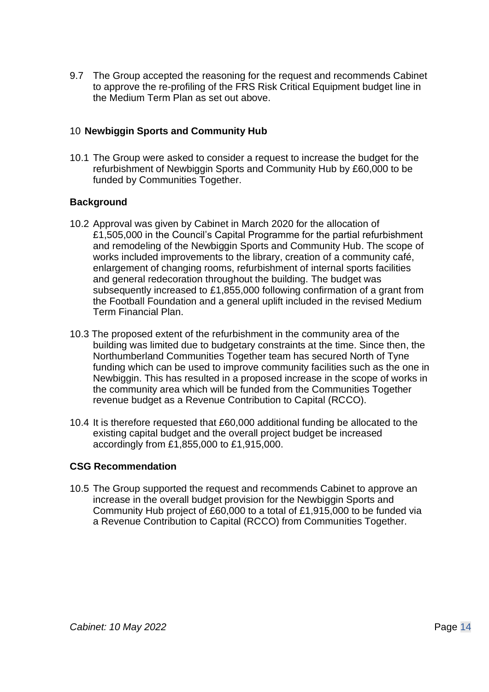9.7 The Group accepted the reasoning for the request and recommends Cabinet to approve the re-profiling of the FRS Risk Critical Equipment budget line in the Medium Term Plan as set out above.

## 10 **Newbiggin Sports and Community Hub**

10.1 The Group were asked to consider a request to increase the budget for the refurbishment of Newbiggin Sports and Community Hub by £60,000 to be funded by Communities Together.

# **Background**

- 10.2 Approval was given by Cabinet in March 2020 for the allocation of £1,505,000 in the Council's Capital Programme for the partial refurbishment and remodeling of the Newbiggin Sports and Community Hub. The scope of works included improvements to the library, creation of a community café, enlargement of changing rooms, refurbishment of internal sports facilities and general redecoration throughout the building. The budget was subsequently increased to £1,855,000 following confirmation of a grant from the Football Foundation and a general uplift included in the revised Medium Term Financial Plan.
- 10.3 The proposed extent of the refurbishment in the community area of the building was limited due to budgetary constraints at the time. Since then, the Northumberland Communities Together team has secured North of Tyne funding which can be used to improve community facilities such as the one in Newbiggin. This has resulted in a proposed increase in the scope of works in the community area which will be funded from the Communities Together revenue budget as a Revenue Contribution to Capital (RCCO).
- 10.4 It is therefore requested that £60,000 additional funding be allocated to the existing capital budget and the overall project budget be increased accordingly from £1,855,000 to £1,915,000.

# **CSG Recommendation**

10.5 The Group supported the request and recommends Cabinet to approve an increase in the overall budget provision for the Newbiggin Sports and Community Hub project of £60,000 to a total of £1,915,000 to be funded via a Revenue Contribution to Capital (RCCO) from Communities Together.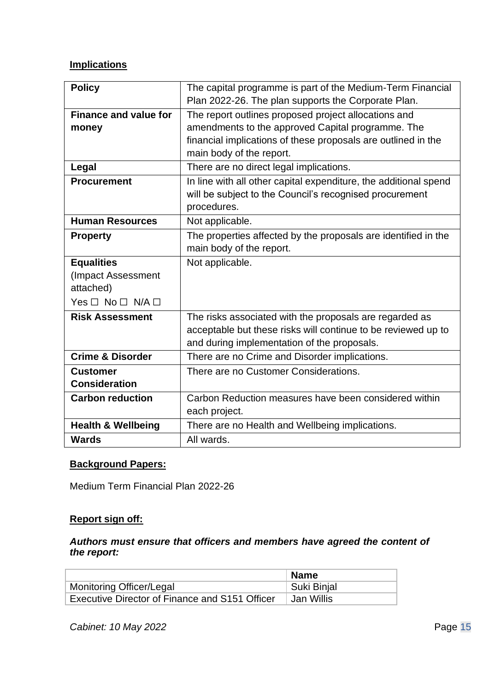# **Implications**

| <b>Policy</b>                                        | The capital programme is part of the Medium-Term Financial<br>Plan 2022-26. The plan supports the Corporate Plan.                                                       |
|------------------------------------------------------|-------------------------------------------------------------------------------------------------------------------------------------------------------------------------|
| <b>Finance and value for</b>                         | The report outlines proposed project allocations and                                                                                                                    |
| money                                                | amendments to the approved Capital programme. The<br>financial implications of these proposals are outlined in the<br>main body of the report.                          |
| Legal                                                | There are no direct legal implications.                                                                                                                                 |
| <b>Procurement</b>                                   | In line with all other capital expenditure, the additional spend<br>will be subject to the Council's recognised procurement<br>procedures.                              |
| <b>Human Resources</b>                               | Not applicable.                                                                                                                                                         |
| <b>Property</b>                                      | The properties affected by the proposals are identified in the                                                                                                          |
|                                                      | main body of the report.                                                                                                                                                |
| <b>Equalities</b><br>(Impact Assessment<br>attached) | Not applicable.                                                                                                                                                         |
| $Yes \Box No \Box N/A \Box$                          |                                                                                                                                                                         |
| <b>Risk Assessment</b>                               | The risks associated with the proposals are regarded as<br>acceptable but these risks will continue to be reviewed up to<br>and during implementation of the proposals. |
| <b>Crime &amp; Disorder</b>                          | There are no Crime and Disorder implications.                                                                                                                           |
| <b>Customer</b><br><b>Consideration</b>              | There are no Customer Considerations.                                                                                                                                   |
| <b>Carbon reduction</b>                              | Carbon Reduction measures have been considered within<br>each project.                                                                                                  |
| <b>Health &amp; Wellbeing</b>                        | There are no Health and Wellbeing implications.                                                                                                                         |
| <b>Wards</b>                                         | All wards.                                                                                                                                                              |

### **Background Papers:**

Medium Term Financial Plan 2022-26

# **Report sign off:**

*Authors must ensure that officers and members have agreed the content of the report:*

|                                                | Name        |
|------------------------------------------------|-------------|
| Monitoring Officer/Legal                       | Suki Binjal |
| Executive Director of Finance and S151 Officer | Jan Willis  |